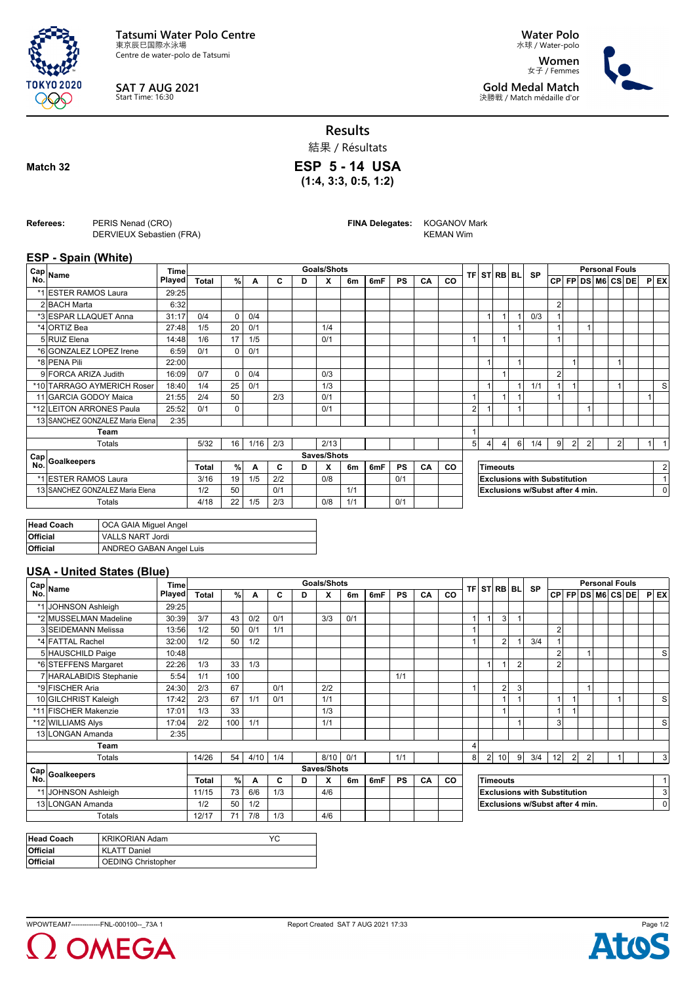

**SAT 7 AUG 2021** Start Time: 16:30

**Water Polo** 水球 / Water-polo

**Women** 女子 / Femmes **Gold Medal Match** 決勝戦 / Match médaille d'or



**Results**

結果 / Résultats

**ESP 5 - 14 USA**

**(1:4, 3:3, 0:5, 1:2)**

**Match 32**

**Referees:** PERIS Nenad (CRO) DERVIEUX Sebastien (FRA) **FINA Delegates:** KOGANOV Mark KEMAN Wim

## **ESP - Spain (White)**

|     | ∈Cap Name                       | Timel         |              |               |      |     |   | <b>Goals/Shots</b> |     |     |           |    |           |                                     |  | <b>TFI STIRBI BLI</b> |          | <b>SP</b> | <b>Personal Fouls</b> |                |                |  |                   |  |   |                |
|-----|---------------------------------|---------------|--------------|---------------|------|-----|---|--------------------|-----|-----|-----------|----|-----------|-------------------------------------|--|-----------------------|----------|-----------|-----------------------|----------------|----------------|--|-------------------|--|---|----------------|
| No. |                                 | <b>Played</b> | <b>Total</b> | $\frac{9}{6}$ | A    | C   | D | X                  | 6m  | 6mF | <b>PS</b> | CA | <b>CO</b> |                                     |  |                       |          |           |                       |                |                |  | CP FP DS M6 CS DE |  |   | $P$ EX         |
|     | *1 ESTER RAMOS Laura            | 29:25         |              |               |      |     |   |                    |     |     |           |    |           |                                     |  |                       |          |           |                       |                |                |  |                   |  |   |                |
|     | 2 BACH Marta                    | 6:32          |              |               |      |     |   |                    |     |     |           |    |           |                                     |  |                       |          |           | $\overline{2}$        |                |                |  |                   |  |   |                |
|     | *3 ESPAR LLAQUET Anna           | 31:17         | 0/4          | $\Omega$      | 0/4  |     |   |                    |     |     |           |    |           |                                     |  | $\mathbf{1}$          |          | 0/3       |                       |                |                |  |                   |  |   |                |
|     | *4 ORTIZ Bea                    | 27:48         | 1/5          | 20            | 0/1  |     |   | 1/4                |     |     |           |    |           |                                     |  |                       |          |           |                       |                |                |  |                   |  |   |                |
|     | 5 RUIZ Elena                    | 14:48         | 1/6          | 17            | 1/5  |     |   | 0/1                |     |     |           |    |           | 1                                   |  | 1                     |          |           |                       |                |                |  |                   |  |   |                |
|     | *6 GONZALEZ LOPEZ Irene         | 6:59          | 0/1          | $\Omega$      | 0/1  |     |   |                    |     |     |           |    |           |                                     |  |                       |          |           |                       |                |                |  |                   |  |   |                |
|     | *8 PENA Pili                    | 22:00         |              |               |      |     |   |                    |     |     |           |    |           |                                     |  |                       |          |           |                       |                |                |  |                   |  |   |                |
|     | 9 FORCA ARIZA Judith            | 16:09         | 0/7          | $\Omega$      | 0/4  |     |   | 0/3                |     |     |           |    |           |                                     |  | $\overline{1}$        |          |           | $\overline{2}$        |                |                |  |                   |  |   |                |
|     | *10 TARRAGO AYMERICH Roser      | 18:40         | 1/4          | 25            | 0/1  |     |   | 1/3                |     |     |           |    |           |                                     |  |                       |          | 1/1       |                       |                |                |  |                   |  |   | s              |
|     | 11 GARCIA GODOY Maica           | 21:55         | 2/4          | 50            |      | 2/3 |   | 0/1                |     |     |           |    |           |                                     |  |                       |          |           |                       |                |                |  |                   |  |   |                |
|     | *12 LEITON ARRONES Paula        | 25:52         | 0/1          | 0             |      |     |   | 0/1                |     |     |           |    |           | $\overline{2}$                      |  |                       |          |           |                       |                |                |  |                   |  |   |                |
|     | 13 SANCHEZ GONZALEZ Maria Elena | 2:35          |              |               |      |     |   |                    |     |     |           |    |           |                                     |  |                       |          |           |                       |                |                |  |                   |  |   |                |
|     | Team                            |               |              |               |      |     |   |                    |     |     |           |    |           | $\overline{A}$                      |  |                       |          |           |                       |                |                |  |                   |  |   |                |
|     | Totals                          |               | 5/32         | 16            | 1/16 | 2/3 |   | 2/13               |     |     |           |    |           | 5 <sup>1</sup>                      |  | $\overline{4}$        | $6 \mid$ | 1/4       | 9                     | $\overline{2}$ | $\overline{2}$ |  | $\overline{2}$    |  | 1 | $\overline{1}$ |
|     | Cap Goalkeepers                 |               |              |               |      |     |   | Saves/Shots        |     |     |           |    |           |                                     |  |                       |          |           |                       |                |                |  |                   |  |   |                |
|     |                                 |               | Total        | %             | A    | C   | D | X                  | 6m  | 6mF | <b>PS</b> | CA | <b>CO</b> |                                     |  | <b>Timeouts</b>       |          |           |                       |                |                |  |                   |  |   | 2              |
|     | *1 ESTER RAMOS Laura            |               | 3/16         | 19            | 1/5  | 2/2 |   | 0/8                |     |     | 0/1       |    |           | <b>Exclusions with Substitution</b> |  |                       |          | $\vert$ 1 |                       |                |                |  |                   |  |   |                |
|     | 13 SANCHEZ GONZALEZ Maria Elena |               | 1/2          | 50            |      | 0/1 |   |                    | 1/1 |     |           |    |           | Exclusions w/Subst after 4 min.     |  |                       |          |           | $\overline{0}$        |                |                |  |                   |  |   |                |
|     | Totals                          |               | 4/18         | 22            | 1/5  | 2/3 |   | 0/8                | 1/1 |     | 0/1       |    |           |                                     |  |                       |          |           |                       |                |                |  |                   |  |   |                |
|     |                                 |               |              |               |      |     |   |                    |     |     |           |    |           |                                     |  |                       |          |           |                       |                |                |  |                   |  |   |                |

| Head Coach      | OCA GAIA Miquel Angel   |
|-----------------|-------------------------|
| <b>Official</b> | <b>VALLS NART Jordi</b> |
| <b>Official</b> | ANDREO GABAN Angel Luis |

## **USA - United States (Blue)**

|     | ⊢Cap <sub>Name</sub>    |        | <b>Time</b>  |               |      |     |   | <b>Goals/Shots</b> |     |     |           |    |           |                                     |                | <b>TFI STIRBI BLI</b>   |                | <b>SP</b>                       |                | <b>Personal Fouls</b> |  |  |                   |  |  |           |
|-----|-------------------------|--------|--------------|---------------|------|-----|---|--------------------|-----|-----|-----------|----|-----------|-------------------------------------|----------------|-------------------------|----------------|---------------------------------|----------------|-----------------------|--|--|-------------------|--|--|-----------|
| No. |                         | Played | <b>Total</b> | $\frac{9}{6}$ | A    | C   | D | x                  | 6m  | 6mF | PS.       | CA | CO        |                                     |                |                         |                |                                 |                |                       |  |  | CP FP DS M6 CS DE |  |  | $P$ EX    |
|     | *1 JOHNSON Ashleigh     | 29:25  |              |               |      |     |   |                    |     |     |           |    |           |                                     |                |                         |                |                                 |                |                       |  |  |                   |  |  |           |
|     | *2 MUSSELMAN Madeline   | 30:39  | 3/7          | 43            | 0/2  | 0/1 |   | 3/3                | 0/1 |     |           |    |           | $\overline{A}$                      |                | $\overline{3}$          |                |                                 |                |                       |  |  |                   |  |  |           |
|     | 3 SEIDEMANN Melissa     | 13:56  | 1/2          | 50            | 0/1  | 1/1 |   |                    |     |     |           |    |           | $\overline{A}$                      |                |                         |                |                                 | $\overline{2}$ |                       |  |  |                   |  |  |           |
|     | *4 FATTAL Rachel        | 32:00  | 1/2          | 50            | 1/2  |     |   |                    |     |     |           |    |           |                                     |                | $\overline{2}$          |                | 3/4                             |                |                       |  |  |                   |  |  |           |
|     | 5 HAUSCHILD Paige       | 10:48  |              |               |      |     |   |                    |     |     |           |    |           |                                     |                |                         |                |                                 | 2              |                       |  |  |                   |  |  | S         |
|     | *6 STEFFENS Margaret    | 22:26  | 1/3          | 33            | 1/3  |     |   |                    |     |     |           |    |           |                                     |                |                         | $\overline{2}$ |                                 | $\mathfrak{p}$ |                       |  |  |                   |  |  |           |
|     | 7 HARALABIDIS Stephanie | 5:54   | 1/1          | 100           |      |     |   |                    |     |     | 1/1       |    |           |                                     |                |                         |                |                                 |                |                       |  |  |                   |  |  |           |
|     | *9 FISCHER Aria         | 24:30  | 2/3          | 67            |      | 0/1 |   | 2/2                |     |     |           |    |           |                                     |                | $\overline{\mathbf{c}}$ | $\mathbf{3}$   |                                 |                |                       |  |  |                   |  |  |           |
|     | 10 GILCHRIST Kaleigh    | 17:42  | 2/3          | 67            | 1/1  | 0/1 |   | 1/1                |     |     |           |    |           |                                     |                |                         |                |                                 |                |                       |  |  |                   |  |  | S         |
|     | *11 FISCHER Makenzie    | 17:01  | 1/3          | 33            |      |     |   | 1/3                |     |     |           |    |           |                                     |                |                         |                |                                 |                |                       |  |  |                   |  |  |           |
|     | *12 WILLIAMS Alys       | 17:04  | 2/2          | 100           | 1/1  |     |   | 1/1                |     |     |           |    |           |                                     |                |                         |                |                                 | 3              |                       |  |  |                   |  |  | S         |
|     | 13 LONGAN Amanda        | 2:35   |              |               |      |     |   |                    |     |     |           |    |           |                                     |                |                         |                |                                 |                |                       |  |  |                   |  |  |           |
|     | Team                    |        |              |               |      |     |   |                    |     |     |           |    |           | 4                                   |                |                         |                |                                 |                |                       |  |  |                   |  |  |           |
|     | <b>Totals</b>           |        | 14/26        | 54            | 4/10 | 1/4 |   | 8/10               | 0/1 |     | 1/1       |    |           | 8                                   | $\overline{2}$ | 10 <sup>1</sup>         | -91            | 3/4                             | 12             | $\overline{2}$        |  |  |                   |  |  | $\vert$ 3 |
| Cap | Goalkeepers             |        |              |               |      |     |   | Saves/Shots        |     |     |           |    |           |                                     |                |                         |                |                                 |                |                       |  |  |                   |  |  |           |
| No. |                         |        | <b>Total</b> | %             | A    | C   | D | x                  | 6m  | 6mF | <b>PS</b> | CA | <b>CO</b> |                                     |                | <b>Timeouts</b>         |                |                                 |                |                       |  |  |                   |  |  | 1         |
|     | *1 JOHNSON Ashleigh     |        | 11/15        | 73            | 6/6  | 1/3 |   | 4/6                |     |     |           |    |           | <b>Exclusions with Substitution</b> |                |                         |                |                                 | 3              |                       |  |  |                   |  |  |           |
|     | 13 LONGAN Amanda        |        | 1/2          | 50            | 1/2  |     |   |                    |     |     |           |    |           |                                     |                |                         |                | Exclusions w/Subst after 4 min. |                |                       |  |  |                   |  |  | 0         |
|     | Totals                  |        | 12/17        | 71            | 7/8  | 1/3 |   | 4/6                |     |     |           |    |           |                                     |                |                         |                |                                 |                |                       |  |  |                   |  |  |           |

| Head Coach      | <b>KRIKORIAN Adam</b>     | YC |
|-----------------|---------------------------|----|
| <b>Official</b> | <b>KLATT Daniel</b>       |    |
| <b>Official</b> | <b>OEDING Christopher</b> |    |

OMEGA